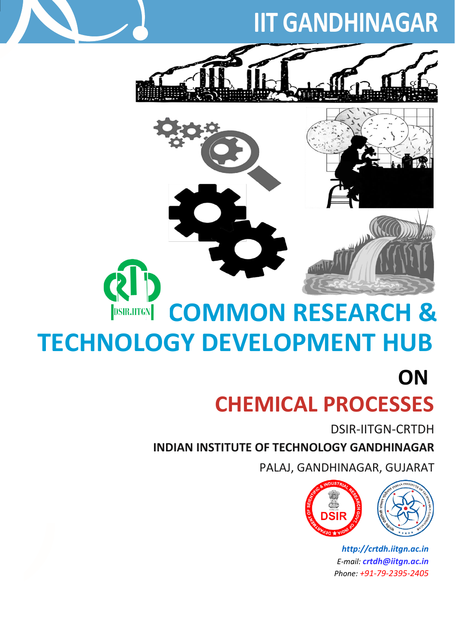# **IIT GANDHINAGAR**



## **COMMON RESEARCH & DSIR.IITGN TECHNOLOGY DEVELOPMENT HUB**

**CHEMICAL PROCESSES ON**

DSIR-IITGN-CRTDH

**INDIAN INSTITUTE OF TECHNOLOGY GANDHINAGAR** 

PALAJ, GANDHINAGAR, GUJARAT



*[http://crtdh.iitgn.ac.in](http://crtdh.iitgn.ac.in/) E-mail: [crtdh@iitgn.ac.in](mailto:crtdh@iitgn.ac.in) Phone: +91-79-2395-2405*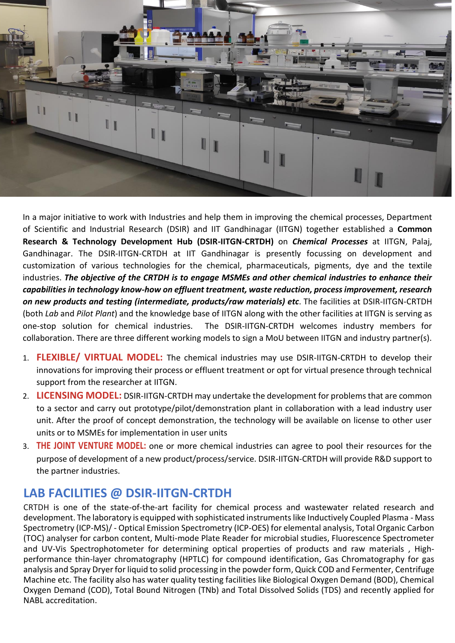

In a major initiative to work with Industries and help them in improving the chemical processes, Department of Scientific and Industrial Research (DSIR) and IIT Gandhinagar (IITGN) together established a **Common Research & Technology Development Hub (DSIR-IITGN-CRTDH)** on *Chemical Processes* at IITGN, Palaj, Gandhinagar. The DSIR-IITGN-CRTDH at IIT Gandhinagar is presently focussing on development and customization of various technologies for the chemical, pharmaceuticals, pigments, dye and the textile industries. *The objective of the CRTDH is to engage MSMEs and other chemical industries to enhance their capabilities in technology know-how on effluent treatment, waste reduction, process improvement, research on new products and testing (intermediate, products/raw materials) etc*. The facilities at DSIR-IITGN-CRTDH (both *Lab* and *Pilot Plant*) and the knowledge base of IITGN along with the other facilities at IITGN is serving as one-stop solution for chemical industries. The DSIR-IITGN-CRTDH welcomes industry members for collaboration. There are three different working models to sign a MoU between IITGN and industry partner(s).

- 1. **FLEXIBLE/ VIRTUAL MODEL:** The chemical industries may use DSIR-IITGN-CRTDH to develop their innovations for improving their process or effluent treatment or opt for virtual presence through technical support from the researcher at IITGN.
- 2. **LICENSING MODEL:** DSIR-IITGN-CRTDH may undertake the development for problems that are common to a sector and carry out prototype/pilot/demonstration plant in collaboration with a lead industry user unit. After the proof of concept demonstration, the technology will be available on license to other user units or to MSMEs for implementation in user units
- 3. **THE JOINT VENTURE MODEL:** one or more chemical industries can agree to pool their resources for the purpose of development of a new product/process/service. DSIR-IITGN-CRTDH will provide R&D support to the partner industries.

#### **LAB FACILITIES @ DSIR-IITGN-CRTDH**

CRTDH is one of the state-of-the-art facility for chemical process and wastewater related research and development. The laboratory is equipped with sophisticated instruments like Inductively Coupled Plasma - Mass Spectrometry (ICP-MS)/ - Optical Emission Spectrometry (ICP-OES) for elemental analysis, Total Organic Carbon (TOC) analyser for carbon content, Multi-mode Plate Reader for microbial studies, Fluorescence Spectrometer and UV-Vis Spectrophotometer for determining optical properties of products and raw materials , Highperformance thin-layer chromatography (HPTLC) for compound identification, Gas Chromatography for gas analysis and Spray Dryer for liquid to solid processing in the powder form, Quick COD and Fermenter, Centrifuge Machine etc. The facility also has water quality testing facilities like Biological Oxygen Demand (BOD), Chemical Oxygen Demand (COD), Total Bound Nitrogen (TNb) and Total Dissolved Solids (TDS) and recently applied for NABL accreditation.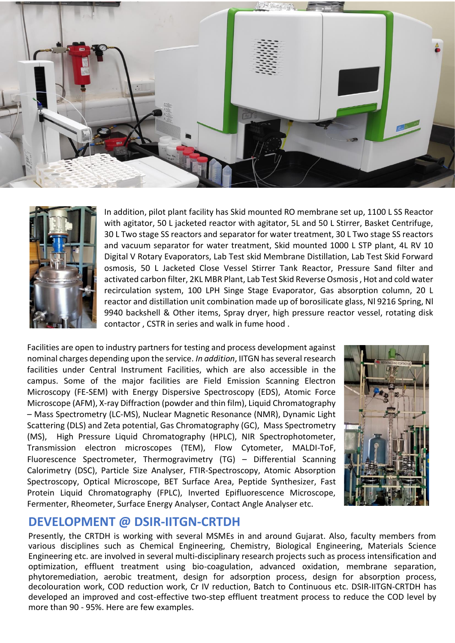



In addition, pilot plant facility has Skid mounted RO membrane set up, 1100 L SS Reactor with agitator, 50 L jacketed reactor with agitator, 5L and 50 L Stirrer, Basket Centrifuge, 30 L Two stage SS reactors and separator for water treatment, 30 L Two stage SS reactors and vacuum separator for water treatment, Skid mounted 1000 L STP plant, 4L RV 10 Digital V Rotary Evaporators, Lab Test skid Membrane Distillation, Lab Test Skid Forward osmosis, 50 L Jacketed Close Vessel Stirrer Tank Reactor, Pressure Sand filter and activated carbon filter, 2KL MBR Plant, Lab Test Skid Reverse Osmosis , Hot and cold water recirculation system, 100 LPH Singe Stage Evaporator, Gas absorption column, 20 L reactor and distillation unit combination made up of borosilicate glass, Nl 9216 Spring, Nl 9940 backshell & Other items, Spray dryer, high pressure reactor vessel, rotating disk contactor , CSTR in series and walk in fume hood .

Facilities are open to industry partners for testing and process development against nominal charges depending upon the service. *In addition*, IITGN has several research facilities under Central Instrument Facilities, which are also accessible in the campus. Some of the major facilities are Field Emission Scanning Electron Microscopy (FE-SEM) with Energy Dispersive Spectroscopy (EDS), Atomic Force Microscope (AFM), X-ray Diffraction (powder and thin film), Liquid Chromatography – Mass Spectrometry (LC-MS), Nuclear Magnetic Resonance (NMR), Dynamic Light Scattering (DLS) and Zeta potential, Gas Chromatography (GC), Mass Spectrometry (MS), High Pressure Liquid Chromatography (HPLC), NIR Spectrophotometer, Transmission electron microscopes (TEM), Flow Cytometer, MALDI-ToF, Fluorescence Spectrometer, Thermogravimetry (TG) – Differential Scanning Calorimetry (DSC), Particle Size Analyser, FTIR-Spectroscopy, Atomic Absorption Spectroscopy, Optical Microscope, BET Surface Area, Peptide Synthesizer, Fast Protein Liquid Chromatography (FPLC), Inverted Epifluorescence Microscope, Fermenter, Rheometer, Surface Energy Analyser, Contact Angle Analyser etc.



#### **DEVELOPMENT @ DSIR-IITGN-CRTDH**

Presently, the CRTDH is working with several MSMEs in and around Gujarat. Also, faculty members from various disciplines such as Chemical Engineering, Chemistry, Biological Engineering, Materials Science Engineering etc. are involved in several multi-disciplinary research projects such as process intensification and optimization, effluent treatment using bio-coagulation, advanced oxidation, membrane separation, phytoremediation, aerobic treatment, design for adsorption process, design for absorption process, decolouration work, COD reduction work, Cr IV reduction, Batch to Continuous etc. DSIR-IITGN-CRTDH has developed an improved and cost-effective two-step effluent treatment process to reduce the COD level by more than 90 - 95%. Here are few examples.